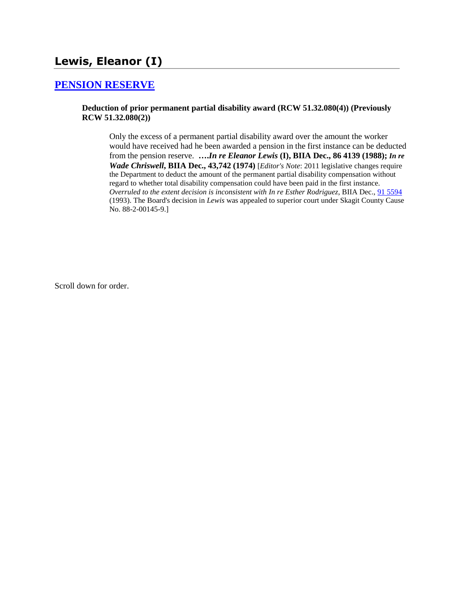# **Lewis, Eleanor (I)**

### **[PENSION RESERVE](http://www.biia.wa.gov/SDSubjectIndex.html#PENSION_RESERVE)**

### **Deduction of prior permanent partial disability award (RCW 51.32.080(4)) (Previously RCW 51.32.080(2))**

Only the excess of a permanent partial disability award over the amount the worker would have received had he been awarded a pension in the first instance can be deducted from the pension reserve. **….***In re Eleanor Lewis* **(I), BIIA Dec., 86 4139 (1988);** *In re Wade Chriswell***, BIIA Dec., 43,742 (1974)** [*Editor's Note*: 2011 legislative changes require the Department to deduct the amount of the permanent partial disability compensation without regard to whether total disability compensation could have been paid in the first instance. *Overruled to the extent decision is inconsistent with In re Esther Rodriguez*, BIIA Dec., [91 5594](http://www.biia.wa.gov/significantdecisions/915594.htm) (1993). The Board's decision in *Lewis* was appealed to superior court under Skagit County Cause No. 88-2-00145-9.]

Scroll down for order.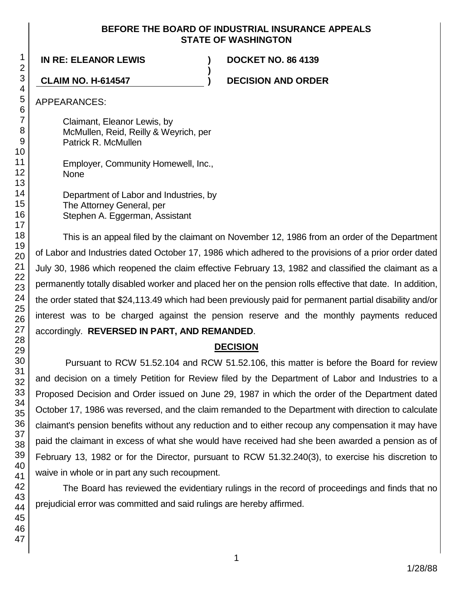### **BEFORE THE BOARD OF INDUSTRIAL INSURANCE APPEALS STATE OF WASHINGTON**

**)**

**IN RE: ELEANOR LEWIS ) DOCKET NO. 86 4139**

**CLAIM NO. H-614547 ) DECISION AND ORDER**

APPEARANCES:

Claimant, Eleanor Lewis, by McMullen, Reid, Reilly & Weyrich, per Patrick R. McMullen

Employer, Community Homewell, Inc., None

Department of Labor and Industries, by The Attorney General, per Stephen A. Eggerman, Assistant

This is an appeal filed by the claimant on November 12, 1986 from an order of the Department of Labor and Industries dated October 17, 1986 which adhered to the provisions of a prior order dated July 30, 1986 which reopened the claim effective February 13, 1982 and classified the claimant as a permanently totally disabled worker and placed her on the pension rolls effective that date. In addition, the order stated that \$24,113.49 which had been previously paid for permanent partial disability and/or interest was to be charged against the pension reserve and the monthly payments reduced accordingly. **REVERSED IN PART, AND REMANDED**.

## **DECISION**

Pursuant to RCW 51.52.104 and RCW 51.52.106, this matter is before the Board for review and decision on a timely Petition for Review filed by the Department of Labor and Industries to a Proposed Decision and Order issued on June 29, 1987 in which the order of the Department dated October 17, 1986 was reversed, and the claim remanded to the Department with direction to calculate claimant's pension benefits without any reduction and to either recoup any compensation it may have paid the claimant in excess of what she would have received had she been awarded a pension as of February 13, 1982 or for the Director, pursuant to RCW 51.32.240(3), to exercise his discretion to waive in whole or in part any such recoupment.

The Board has reviewed the evidentiary rulings in the record of proceedings and finds that no prejudicial error was committed and said rulings are hereby affirmed.

1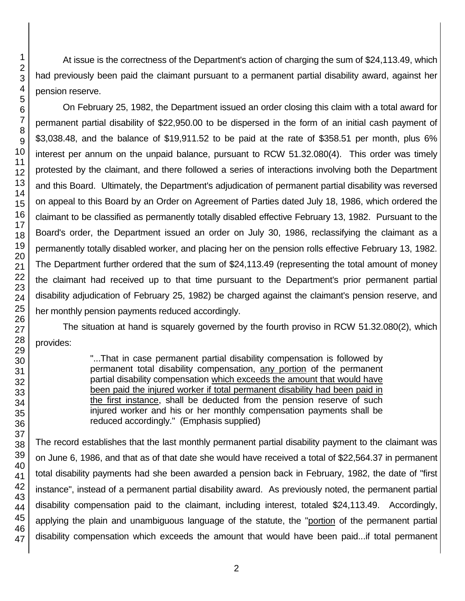47

1 2

At issue is the correctness of the Department's action of charging the sum of \$24,113.49, which had previously been paid the claimant pursuant to a permanent partial disability award, against her pension reserve.

On February 25, 1982, the Department issued an order closing this claim with a total award for permanent partial disability of \$22,950.00 to be dispersed in the form of an initial cash payment of \$3,038.48, and the balance of \$19,911.52 to be paid at the rate of \$358.51 per month, plus 6% interest per annum on the unpaid balance, pursuant to RCW 51.32.080(4). This order was timely protested by the claimant, and there followed a series of interactions involving both the Department and this Board. Ultimately, the Department's adjudication of permanent partial disability was reversed on appeal to this Board by an Order on Agreement of Parties dated July 18, 1986, which ordered the claimant to be classified as permanently totally disabled effective February 13, 1982. Pursuant to the Board's order, the Department issued an order on July 30, 1986, reclassifying the claimant as a permanently totally disabled worker, and placing her on the pension rolls effective February 13, 1982. The Department further ordered that the sum of \$24,113.49 (representing the total amount of money the claimant had received up to that time pursuant to the Department's prior permanent partial disability adjudication of February 25, 1982) be charged against the claimant's pension reserve, and her monthly pension payments reduced accordingly.

The situation at hand is squarely governed by the fourth proviso in RCW 51.32.080(2), which provides:

> "...That in case permanent partial disability compensation is followed by permanent total disability compensation, any portion of the permanent partial disability compensation which exceeds the amount that would have been paid the injured worker if total permanent disability had been paid in the first instance, shall be deducted from the pension reserve of such injured worker and his or her monthly compensation payments shall be reduced accordingly." (Emphasis supplied)

The record establishes that the last monthly permanent partial disability payment to the claimant was on June 6, 1986, and that as of that date she would have received a total of \$22,564.37 in permanent total disability payments had she been awarded a pension back in February, 1982, the date of "first instance", instead of a permanent partial disability award. As previously noted, the permanent partial disability compensation paid to the claimant, including interest, totaled \$24,113.49. Accordingly, applying the plain and unambiguous language of the statute, the "portion of the permanent partial disability compensation which exceeds the amount that would have been paid...if total permanent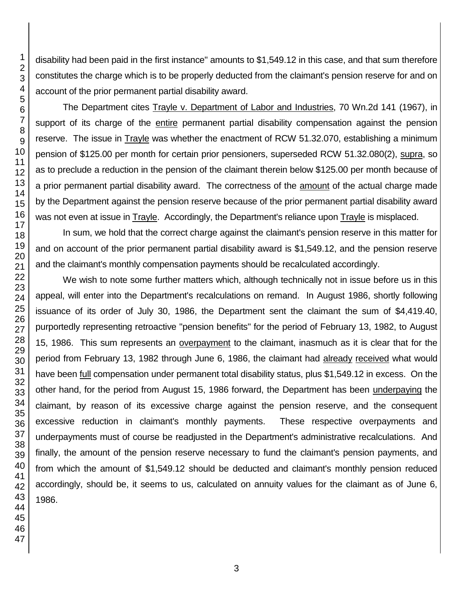disability had been paid in the first instance" amounts to \$1,549.12 in this case, and that sum therefore constitutes the charge which is to be properly deducted from the claimant's pension reserve for and on account of the prior permanent partial disability award.

The Department cites Trayle v. Department of Labor and Industries, 70 Wn.2d 141 (1967), in support of its charge of the entire permanent partial disability compensation against the pension reserve. The issue in Trayle was whether the enactment of RCW 51.32.070, establishing a minimum pension of \$125.00 per month for certain prior pensioners, superseded RCW 51.32.080(2), supra, so as to preclude a reduction in the pension of the claimant therein below \$125.00 per month because of a prior permanent partial disability award. The correctness of the amount of the actual charge made by the Department against the pension reserve because of the prior permanent partial disability award was not even at issue in Trayle. Accordingly, the Department's reliance upon Trayle is misplaced.

In sum, we hold that the correct charge against the claimant's pension reserve in this matter for and on account of the prior permanent partial disability award is \$1,549.12, and the pension reserve and the claimant's monthly compensation payments should be recalculated accordingly.

We wish to note some further matters which, although technically not in issue before us in this appeal, will enter into the Department's recalculations on remand. In August 1986, shortly following issuance of its order of July 30, 1986, the Department sent the claimant the sum of \$4,419.40, purportedly representing retroactive "pension benefits" for the period of February 13, 1982, to August 15, 1986. This sum represents an overpayment to the claimant, inasmuch as it is clear that for the period from February 13, 1982 through June 6, 1986, the claimant had already received what would have been full compensation under permanent total disability status, plus \$1,549.12 in excess. On the other hand, for the period from August 15, 1986 forward, the Department has been underpaying the claimant, by reason of its excessive charge against the pension reserve, and the consequent excessive reduction in claimant's monthly payments. These respective overpayments and underpayments must of course be readjusted in the Department's administrative recalculations. And finally, the amount of the pension reserve necessary to fund the claimant's pension payments, and from which the amount of \$1,549.12 should be deducted and claimant's monthly pension reduced accordingly, should be, it seems to us, calculated on annuity values for the claimant as of June 6, 1986.